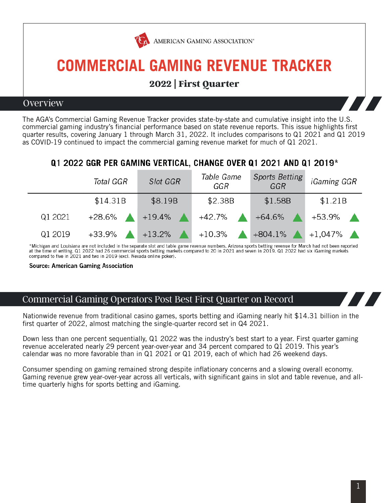

### **2022 | First Quarter**

#### Overview

The AGA's Commercial Gaming Revenue Tracker provides state-by-state and cumulative insight into the U.S. commercial gaming industry's financial performance based on state revenue reports. This issue highlights first quarter results, covering January 1 through March 31, 2022. It includes comparisons to Q1 2021 and Q1 2019 as COVID-19 continued to impact the commercial gaming revenue market for much of Q1 2021.

#### Q1 2022 GGR PER GAMING VERTICAL, CHANGE OVER Q1 2021 AND Q1 2019\*

|         | Total GGR | <b>Slot GGR</b> | Table Game<br>GGR | <b>Sports Betting</b><br>GGR | <i>iGaming GGR</i> |
|---------|-----------|-----------------|-------------------|------------------------------|--------------------|
|         | \$14.31B  | \$8.19B         | \$2.38B           | \$1.58B                      | \$1.21B            |
| Q1 2021 | +28.6%    | $+19.4\%$       | +42.7%            | +64.6%                       | +53.9%             |
| Q1 2019 | $+33.9%$  | $+13.2%$        | $+10.3%$          | $+804.1%$                    | $+1,047\%$         |

\*Michigan and Louisiana are not included in the separate slot and table game revenue numbers. Arizona sports betting revenue for March had not been reported at the time of writing. Q1 2022 had 26 commercial sports betting compared to five in 2021 and two in 2019 (excl. Nevada online poker).

Source: American Gaming Association

#### Commercial Gaming Operators Post Best First Quarter on Record

Nationwide revenue from traditional casino games, sports betting and iGaming nearly hit \$14.31 billion in the first quarter of 2022, almost matching the single-quarter record set in Q4 2021.

Down less than one percent sequentially, Q1 2022 was the industry's best start to a year. First quarter gaming revenue accelerated nearly 29 percent year-over-year and 34 percent compared to Q1 2019. This year's calendar was no more favorable than in Q1 2021 or Q1 2019, each of which had 26 weekend days.

Consumer spending on gaming remained strong despite inflationary concerns and a slowing overall economy. Gaming revenue grew year-over-year across all verticals, with significant gains in slot and table revenue, and alltime quarterly highs for sports betting and iGaming.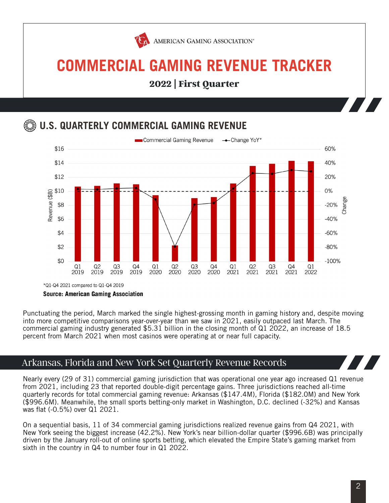

**2022 | First Quarter**

### **U.S. QUARTERLY COMMERCIAL GAMING REVENUE**



Punctuating the period, March marked the single highest-grossing month in gaming history and, despite moving into more competitive comparisons year-over-year than we saw in 2021, easily outpaced last March. The commercial gaming industry generated \$5.31 billion in the closing month of Q1 2022, an increase of 18.5 percent from March 2021 when most casinos were operating at or near full capacity.

#### Arkansas, Florida and New York Set Quarterly Revenue Records

Nearly every (29 of 31) commercial gaming jurisdiction that was operational one year ago increased Q1 revenue from 2021, including 23 that reported double-digit percentage gains. Three jurisdictions reached all-time quarterly records for total commercial gaming revenue: Arkansas (\$147.4M), Florida (\$182.0M) and New York (\$996.6M). Meanwhile, the small sports betting-only market in Washington, D.C. declined (-32%) and Kansas was flat (-0.5%) over Q1 2021.

On a sequential basis, 11 of 34 commercial gaming jurisdictions realized revenue gains from Q4 2021, with New York seeing the biggest increase (42.2%). New York's near billion-dollar quarter (\$996.6B) was principally driven by the January roll-out of online sports betting, which elevated the Empire State's gaming market from sixth in the country in Q4 to number four in Q1 2022.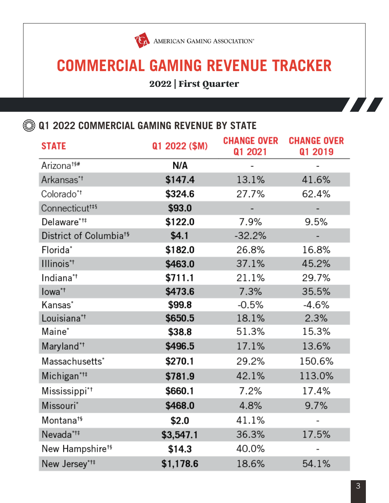

**2022 | First Quarter**

 $\circledR$  **Q1 2022 COMMERCIAL GAMING REVENUE BY STATE** 

| <b>STATE</b>                       | Q1 2022 (\$M) | <b>CHANGE OVER</b><br>Q1 2021 | <b>CHANGE OVER</b><br>Q1 2019 |
|------------------------------------|---------------|-------------------------------|-------------------------------|
| Arizona <sup>t§#</sup>             | N/A           |                               |                               |
| Arkansas* <sup>+</sup>             | \$147.4       | 13.1%                         | 41.6%                         |
| Colorado* <sup>+</sup>             | \$324.6       | 27.7%                         | 62.4%                         |
| Connecticut <sup>t#§</sup>         | \$93.0        |                               |                               |
| Delaware* <sup>†‡</sup>            | \$122.0       | 7.9%                          | 9.5%                          |
| District of Columbia <sup>t§</sup> | \$4.1         | $-32.2%$                      |                               |
| Florida*                           | \$182.0       | 26.8%                         | 16.8%                         |
| Illinois* <sup>†</sup>             | \$463.0       | 37.1%                         | 45.2%                         |
| Indiana*†                          | \$711.1       | 21.1%                         | 29.7%                         |
| lowa <sup>*†</sup>                 | \$473.6       | 7.3%                          | 35.5%                         |
| Kansas*                            | \$99.8        | $-0.5%$                       | -4.6%                         |
| Louisiana* <sup>†</sup>            | \$650.5       | 18.1%                         | 2.3%                          |
| Maine*                             | \$38.8        | 51.3%                         | 15.3%                         |
| Maryland* <sup>†</sup>             | \$496.5       | 17.1%                         | 13.6%                         |
| Massachusetts*                     | \$270.1       | 29.2%                         | 150.6%                        |
| Michigan* <sup>†‡</sup>            | \$781.9       | 42.1%                         | 113.0%                        |
| Mississippi*†                      | \$660.1       | 7.2%                          | 17.4%                         |
| Missouri*                          | \$468.0       | 4.8%                          | 9.7%                          |
| Montana†§                          | \$2.0         | 41.1%                         |                               |
| Nevada*†‡                          | \$3,547.1     | 36.3%                         | 17.5%                         |
| New Hampshire <sup>t§</sup>        | \$14.3        | 40.0%                         |                               |
| New Jersey* <sup>†‡</sup>          | \$1,178.6     | 18.6%                         | 54.1%                         |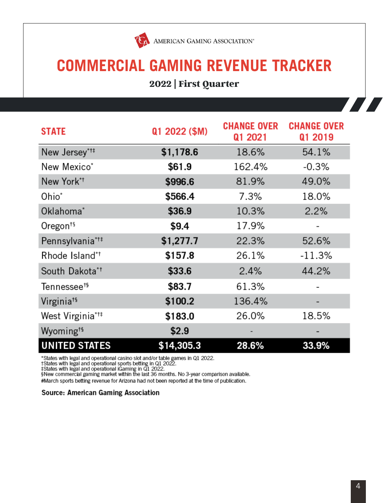

### **2022 | First Quarter**

| <b>STATE</b>                 | Q1 2022 (\$M) | <b>CHANGE OVER</b><br>Q1 2021 | <b>CHANGE OVER</b><br>Q1 2019 |
|------------------------------|---------------|-------------------------------|-------------------------------|
| New Jersey* <sup>†‡</sup>    | \$1,178.6     | 18.6%                         | 54.1%                         |
| New Mexico*                  | \$61.9        | 162.4%                        | $-0.3%$                       |
| New York*†                   | \$996.6       | 81.9%                         | 49.0%                         |
| Ohio <sup>*</sup>            | \$566.4       | 7.3%                          | 18.0%                         |
| Oklahoma*                    | \$36.9        | 10.3%                         | 2.2%                          |
| Oregon <sup>ts</sup>         | \$9.4         | 17.9%                         |                               |
| Pennsylvania* <sup>†</sup>   | \$1,277.7     | 22.3%                         | 52.6%                         |
| Rhode Island*†               | \$157.8       | 26.1%                         | $-11.3%$                      |
| South Dakota* <sup>†</sup>   | \$33.6        | 2.4%                          | 44.2%                         |
| Tennessee <sup>t§</sup>      | \$83.7        | 61.3%                         |                               |
| Virginia <sup>†§</sup>       | \$100.2       | 136.4%                        |                               |
| West Virginia* <sup>†‡</sup> | \$183.0       | 26.0%                         | 18.5%                         |
| Wyoming <sup>ts</sup>        | \$2.9         |                               |                               |
| <b>UNITED STATES</b>         | \$14,305.3    | 28.6%                         | 33.9%                         |

\*States with legal and operational casino slot and/or table games in Q1 2022.<br>†States with legal and operational sports betting in Q1 2022.<br>‡States with legal and operational iGaming in Q1 2022.<br>\$New commercial gaming mark

#March sports betting revenue for Arizona had not been reported at the time of publication.

#### Source: American Gaming Association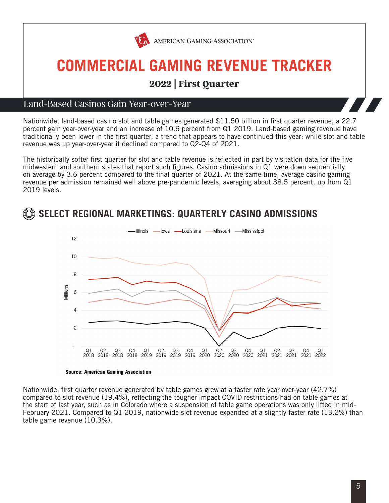

### **2022 | First Quarter**

#### Land-Based Casinos Gain Year-over-Year

Nationwide, land-based casino slot and table games generated \$11.50 billion in first quarter revenue, a 22.7 percent gain year-over-year and an increase of 10.6 percent from Q1 2019. Land-based gaming revenue have traditionally been lower in the first quarter, a trend that appears to have continued this year: while slot and table revenue was up year-over-year it declined compared to Q2-Q4 of 2021.

The historically softer first quarter for slot and table revenue is reflected in part by visitation data for the five midwestern and southern states that report such figures. Casino admissions in Q1 were down sequentially on average by 3.6 percent compared to the final quarter of 2021. At the same time, average casino gaming revenue per admission remained well above pre-pandemic levels, averaging about 38.5 percent, up from Q1 2019 levels.





#### **Source: American Gaming Association**

Nationwide, first quarter revenue generated by table games grew at a faster rate year-over-year (42.7%) compared to slot revenue (19.4%), reflecting the tougher impact COVID restrictions had on table games at the start of last year, such as in Colorado where a suspension of table game operations was only lifted in mid-February 2021. Compared to Q1 2019, nationwide slot revenue expanded at a slightly faster rate (13.2%) than table game revenue (10.3%).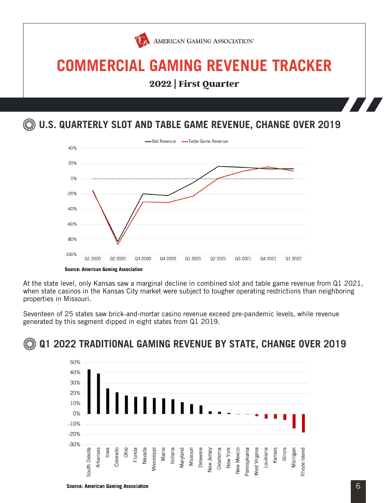

**2022 | First Quarter**

**U.S. QUARTERLY SLOT AND TABLE GAME REVENUE, CHANGE OVER 2019**



At the state level, only Kansas saw a marginal decline in combined slot and table game revenue from Q1 2021, when state casinos in the Kansas City market were subject to tougher operating restrictions than neighboring properties in Missouri.

Seventeen of 25 states saw brick-and-mortar casino revenue exceed pre-pandemic levels, while revenue generated by this segment dipped in eight states from Q1 2019.



### **Q1 2022 TRADITIONAL GAMING REVENUE BY STATE, CHANGE OVER 2019**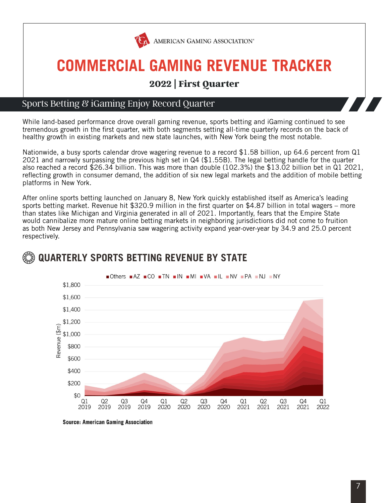

AMERICAN GAMING ASSOCIATION®

# **COMMERCIAL GAMING REVENUE TRACKER**

### **2022 | First Quarter**

#### Sports Betting & iGaming Enjoy Record Quarter

While land-based performance drove overall gaming revenue, sports betting and iGaming continued to see tremendous growth in the first quarter, with both segments setting all-time quarterly records on the back of healthy growth in existing markets and new state launches, with New York being the most notable.

Nationwide, a busy sports calendar drove wagering revenue to a record \$1.58 billion, up 64.6 percent from Q1 2021 and narrowly surpassing the previous high set in Q4 (\$1.55B). The legal betting handle for the quarter also reached a record \$26.34 billion. This was more than double (102.3%) the \$13.02 billion bet in Q1 2021, reflecting growth in consumer demand, the addition of six new legal markets and the addition of mobile betting platforms in New York.

After online sports betting launched on January 8, New York quickly established itself as America's leading sports betting market. Revenue hit \$320.9 million in the first quarter on \$4.87 billion in total wagers – more than states like Michigan and Virginia generated in all of 2021. Importantly, fears that the Empire State would cannibalize more mature online betting markets in neighboring jurisdictions did not come to fruition as both New Jersey and Pennsylvania saw wagering activity expand year-over-year by 34.9 and 25.0 percent respectively.



### **QUARTERLY SPORTS BETTING REVENUE BY STATE**

**Source: American Gaming Association**